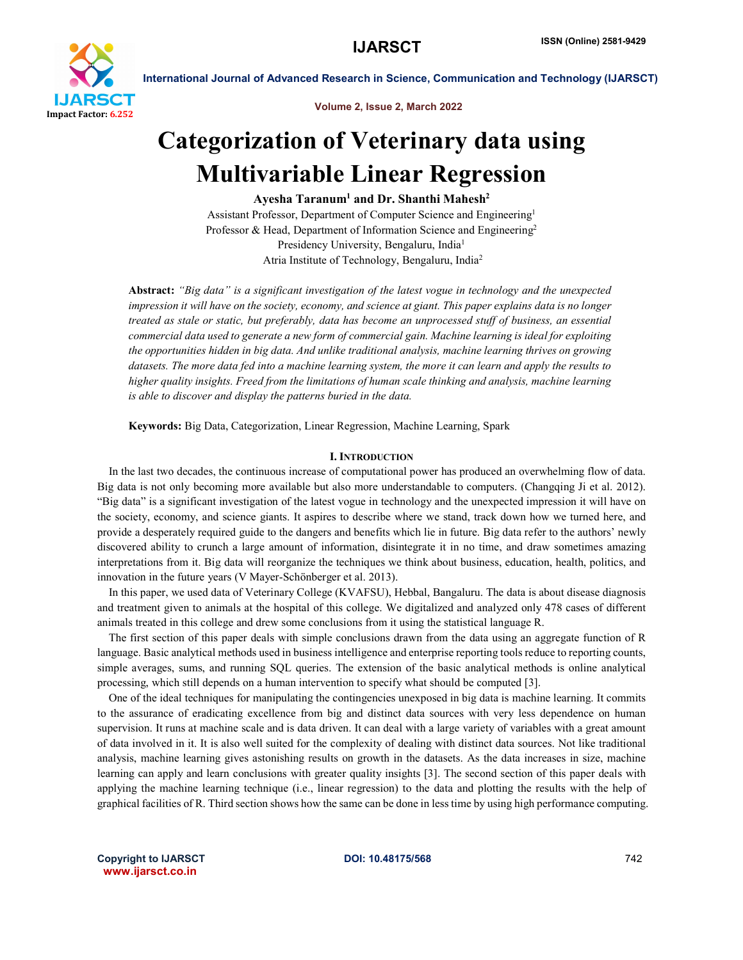

Volume 2, Issue 2, March 2022

# Categorization of Veterinary data using Multivariable Linear Regression

Ayesha Taranum<sup>1</sup> and Dr. Shanthi Mahesh<sup>2</sup>

Assistant Professor, Department of Computer Science and Engineering1 Professor & Head, Department of Information Science and Engineering<sup>2</sup> Presidency University, Bengaluru, India<sup>1</sup> Atria Institute of Technology, Bengaluru, India2

Abstract: *"Big data" is a significant investigation of the latest vogue in technology and the unexpected impression it will have on the society, economy, and science at giant. This paper explains data is no longer treated as stale or static, but preferably, data has become an unprocessed stuff of business, an essential commercial data used to generate a new form of commercial gain. Machine learning is ideal for exploiting the opportunities hidden in big data. And unlike traditional analysis, machine learning thrives on growing datasets. The more data fed into a machine learning system, the more it can learn and apply the results to higher quality insights. Freed from the limitations of human scale thinking and analysis, machine learning is able to discover and display the patterns buried in the data.*

Keywords: Big Data, Categorization, Linear Regression, Machine Learning, Spark

# I. INTRODUCTION

 In the last two decades, the continuous increase of computational power has produced an overwhelming flow of data. Big data is not only becoming more available but also more understandable to computers. (Changqing Ji et al. 2012). "Big data" is a significant investigation of the latest vogue in technology and the unexpected impression it will have on the society, economy, and science giants. It aspires to describe where we stand, track down how we turned here, and provide a desperately required guide to the dangers and benefits which lie in future. Big data refer to the authors' newly discovered ability to crunch a large amount of information, disintegrate it in no time, and draw sometimes amazing interpretations from it. Big data will reorganize the techniques we think about business, education, health, politics, and innovation in the future years (V Mayer-Schönberger et al. 2013).

 In this paper, we used data of Veterinary College (KVAFSU), Hebbal, Bangaluru. The data is about disease diagnosis and treatment given to animals at the hospital of this college. We digitalized and analyzed only 478 cases of different animals treated in this college and drew some conclusions from it using the statistical language R.

 The first section of this paper deals with simple conclusions drawn from the data using an aggregate function of R language. Basic analytical methods used in business intelligence and enterprise reporting tools reduce to reporting counts, simple averages, sums, and running SQL queries. The extension of the basic analytical methods is online analytical processing, which still depends on a human intervention to specify what should be computed [3].

 One of the ideal techniques for manipulating the contingencies unexposed in big data is machine learning. It commits to the assurance of eradicating excellence from big and distinct data sources with very less dependence on human supervision. It runs at machine scale and is data driven. It can deal with a large variety of variables with a great amount of data involved in it. It is also well suited for the complexity of dealing with distinct data sources. Not like traditional analysis, machine learning gives astonishing results on growth in the datasets. As the data increases in size, machine learning can apply and learn conclusions with greater quality insights [3]. The second section of this paper deals with applying the machine learning technique (i.e., linear regression) to the data and plotting the results with the help of graphical facilities of R. Third section shows how the same can be done in less time by using high performance computing.

Copyright to IJARSCT **DOI: 10.48175/568 Conserved Algebra** 742 www.ijarsct.co.in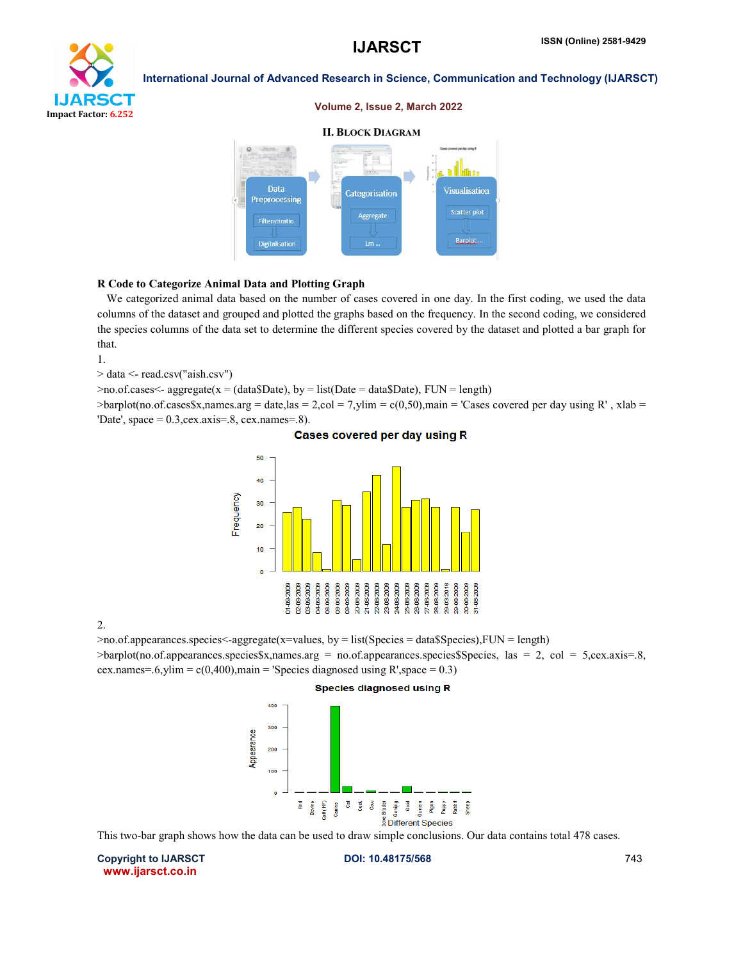

#### Volume 2, Issue 2, March 2022

# II. BLOCK DIAGRAM



#### R Code to Categorize Animal Data and Plotting Graph

 We categorized animal data based on the number of cases covered in one day. In the first coding, we used the data columns of the dataset and grouped and plotted the graphs based on the frequency. In the second coding, we considered the species columns of the data set to determine the different species covered by the dataset and plotted a bar graph for that.

1.

> data <- read.csv("aish.csv")

 $\geq$ no.of.cases $\leq$ - aggregate(x = (data\$Date), by = list(Date = data\$Date), FUN = length)

 $\Rightarrow$ barplot(no.of.cases\$x,names.arg = date,las = 2,col = 7,ylim = c(0,50),main = 'Cases covered per day using R', xlab = 'Date', space =  $0.3$ , cex. axis=.8, cex. names=.8).

#### Cases covered per day using R



2.

 $>$ no.of.appearances.species $\leq$ -aggregate(x=values, by = list(Species = data\$Species),FUN = length)

>barplot(no.of.appearances.species\$x,names.arg = no.of.appearances.species\$Species, las = 2, col = 5,cex.axis=.8, cex.names=.6,ylim =  $c(0,400)$ ,main = 'Species diagnosed using R',space = 0.3)



This two-bar graph shows how the data can be used to draw simple conclusions. Our data contains total 478 cases.

Copyright to IJARSCT **DOI: 10.48175/568 Copyright to IJARSCT** 243 www.ijarsct.co.in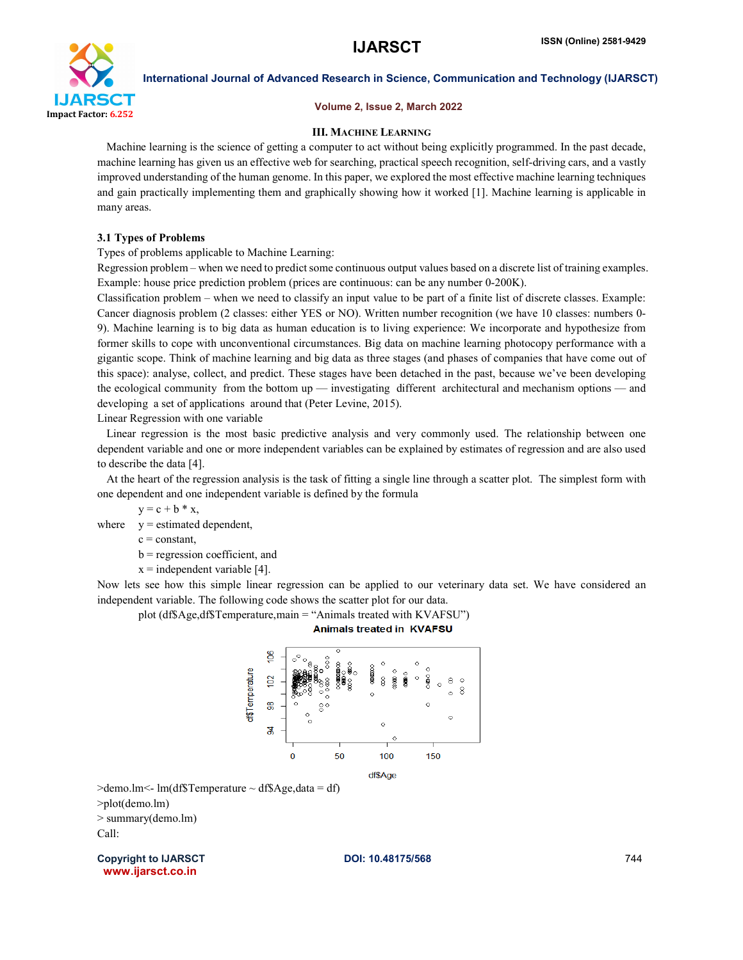

#### Volume 2, Issue 2, March 2022

#### III. MACHINE LEARNING

 Machine learning is the science of getting a computer to act without being explicitly programmed. In the past decade, machine learning has given us an effective web for searching, practical speech recognition, self-driving cars, and a vastly improved understanding of the human genome. In this paper, we explored the most effective machine learning techniques and gain practically implementing them and graphically showing how it worked [1]. Machine learning is applicable in many areas.

### 3.1 Types of Problems

Types of problems applicable to Machine Learning:

Regression problem – when we need to predict some continuous output values based on a discrete list of training examples. Example: house price prediction problem (prices are continuous: can be any number 0-200K).

Classification problem – when we need to classify an input value to be part of a finite list of discrete classes. Example: Cancer diagnosis problem (2 classes: either YES or NO). Written number recognition (we have 10 classes: numbers 0- 9). Machine learning is to big data as human education is to living experience: We incorporate and hypothesize from former skills to cope with unconventional circumstances. Big data on machine learning photocopy performance with a gigantic scope. Think of machine learning and big data as three stages (and phases of companies that have come out of this space): analyse, collect, and predict. These stages have been detached in the past, because we've been developing the ecological community from the bottom up — investigating different architectural and mechanism options — and developing a set of applications around that (Peter Levine, 2015).

Linear Regression with one variable

 Linear regression is the most basic predictive analysis and very commonly used. The relationship between one dependent variable and one or more independent variables can be explained by estimates of regression and are also used to describe the data [4].

 At the heart of the regression analysis is the task of fitting a single line through a scatter plot. The simplest form with one dependent and one independent variable is defined by the formula

 $y = c + b * x$ ,

where  $y =$  estimated dependent,

 $c = constant$ ,

b = regression coefficient, and

 $x =$  independent variable [4].

Now lets see how this simple linear regression can be applied to our veterinary data set. We have considered an independent variable. The following code shows the scatter plot for our data.

plot (df\$Age,df\$Temperature,main = "Animals treated with KVAFSU")

**Animals treated in KVAFSU** 



 $\geq$ demo.lm $\leq$ - lm(df\$Temperature  $\sim$  df\$Age, data = df)

>plot(demo.lm)

> summary(demo.lm) Call:

Copyright to IJARSCT **DOI: 10.48175/568 Copyright to IJARSCT** 244 www.ijarsct.co.in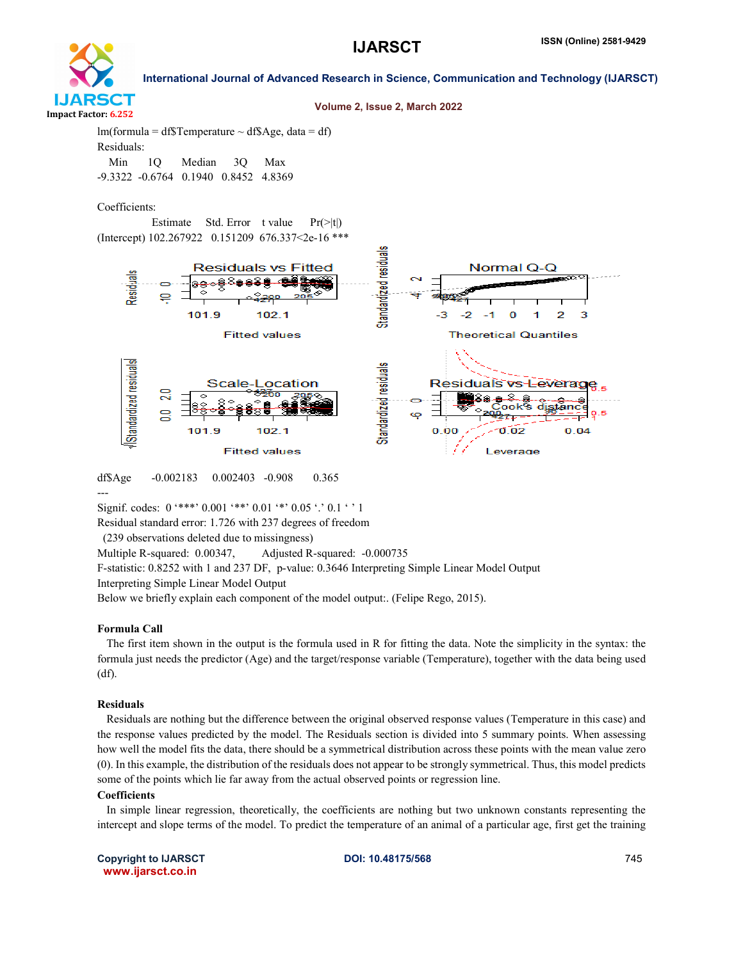

#### Volume 2, Issue 2, March 2022

 $lm(formula = df$Temperature ~ df$Age, data = df)$ Residuals: Min 1Q Median 3Q Max -9.3322 -0.6764 0.1940 0.8452 4.8369

Coefficients:

Estimate Std. Error t value  $Pr(>\vert t \vert)$ (Intercept) 102.267922 0.151209 676.337<2e-16 \*\*\*



---

Signif. codes:  $0$  '\*\*\*'  $0.001$  '\*\*'  $0.01$  '\*'  $0.05$  '.'  $0.1$  ' ' 1 Residual standard error: 1.726 with 237 degrees of freedom

(239 observations deleted due to missingness)

Multiple R-squared: 0.00347, Adjusted R-squared: -0.000735

F-statistic: 0.8252 with 1 and 237 DF, p-value: 0.3646 Interpreting Simple Linear Model Output

Interpreting Simple Linear Model Output

Below we briefly explain each component of the model output:. (Felipe Rego, 2015).

#### Formula Call

 The first item shown in the output is the formula used in R for fitting the data. Note the simplicity in the syntax: the formula just needs the predictor (Age) and the target/response variable (Temperature), together with the data being used (df).

#### Residuals

 Residuals are nothing but the difference between the original observed response values (Temperature in this case) and the response values predicted by the model. The Residuals section is divided into 5 summary points. When assessing how well the model fits the data, there should be a symmetrical distribution across these points with the mean value zero (0). In this example, the distribution of the residuals does not appear to be strongly symmetrical. Thus, this model predicts some of the points which lie far away from the actual observed points or regression line.

#### Coefficients

 In simple linear regression, theoretically, the coefficients are nothing but two unknown constants representing the intercept and slope terms of the model. To predict the temperature of an animal of a particular age, first get the training

Copyright to IJARSCT **DOI: 10.48175/568 POI: 10.48175/568 POI: 10.48175/568** www.ijarsct.co.in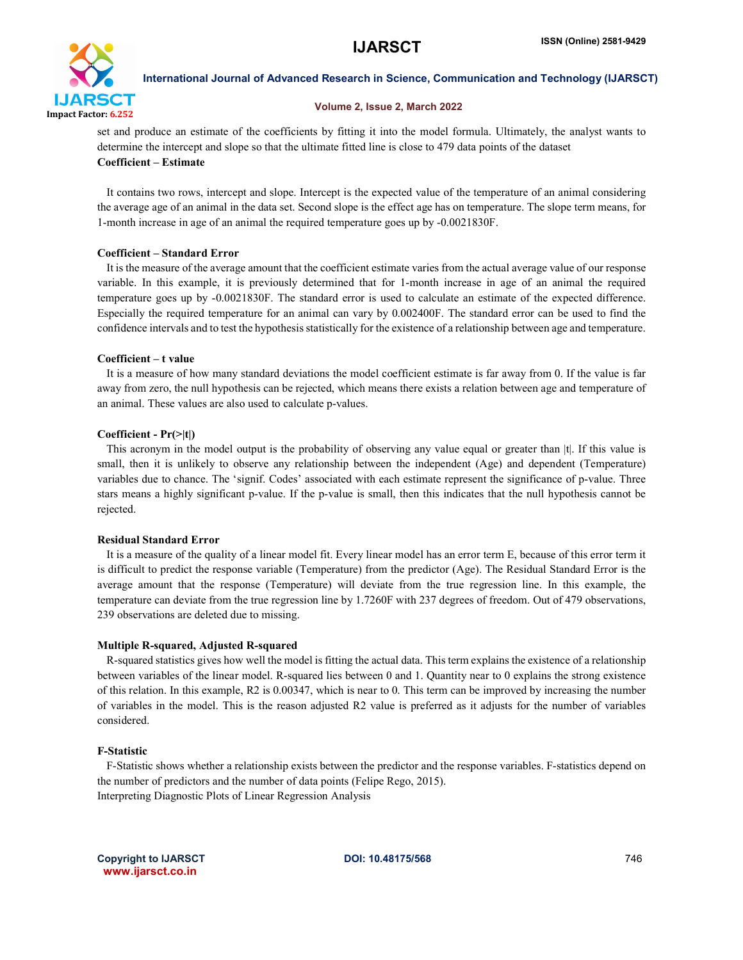

#### Volume 2, Issue 2, March 2022

set and produce an estimate of the coefficients by fitting it into the model formula. Ultimately, the analyst wants to determine the intercept and slope so that the ultimate fitted line is close to 479 data points of the dataset Coefficient – Estimate

 It contains two rows, intercept and slope. Intercept is the expected value of the temperature of an animal considering the average age of an animal in the data set. Second slope is the effect age has on temperature. The slope term means, for 1-month increase in age of an animal the required temperature goes up by -0.0021830F.

# Coefficient – Standard Error

 It is the measure of the average amount that the coefficient estimate varies from the actual average value of our response variable. In this example, it is previously determined that for 1-month increase in age of an animal the required temperature goes up by -0.0021830F. The standard error is used to calculate an estimate of the expected difference. Especially the required temperature for an animal can vary by 0.002400F. The standard error can be used to find the confidence intervals and to test the hypothesis statistically for the existence of a relationship between age and temperature.

# Coefficient – t value

 It is a measure of how many standard deviations the model coefficient estimate is far away from 0. If the value is far away from zero, the null hypothesis can be rejected, which means there exists a relation between age and temperature of an animal. These values are also used to calculate p-values.

# Coefficient - Pr(>|t|)

This acronym in the model output is the probability of observing any value equal or greater than |t|. If this value is small, then it is unlikely to observe any relationship between the independent (Age) and dependent (Temperature) variables due to chance. The 'signif. Codes' associated with each estimate represent the significance of p-value. Three stars means a highly significant p-value. If the p-value is small, then this indicates that the null hypothesis cannot be rejected.

# Residual Standard Error

 It is a measure of the quality of a linear model fit. Every linear model has an error term E, because of this error term it is difficult to predict the response variable (Temperature) from the predictor (Age). The Residual Standard Error is the average amount that the response (Temperature) will deviate from the true regression line. In this example, the temperature can deviate from the true regression line by 1.7260F with 237 degrees of freedom. Out of 479 observations, 239 observations are deleted due to missing.

# Multiple R-squared, Adjusted R-squared

 R-squared statistics gives how well the model is fitting the actual data. This term explains the existence of a relationship between variables of the linear model. R-squared lies between 0 and 1. Quantity near to 0 explains the strong existence of this relation. In this example, R2 is 0.00347, which is near to 0. This term can be improved by increasing the number of variables in the model. This is the reason adjusted R2 value is preferred as it adjusts for the number of variables considered.

# F-Statistic

 F-Statistic shows whether a relationship exists between the predictor and the response variables. F-statistics depend on the number of predictors and the number of data points (Felipe Rego, 2015). Interpreting Diagnostic Plots of Linear Regression Analysis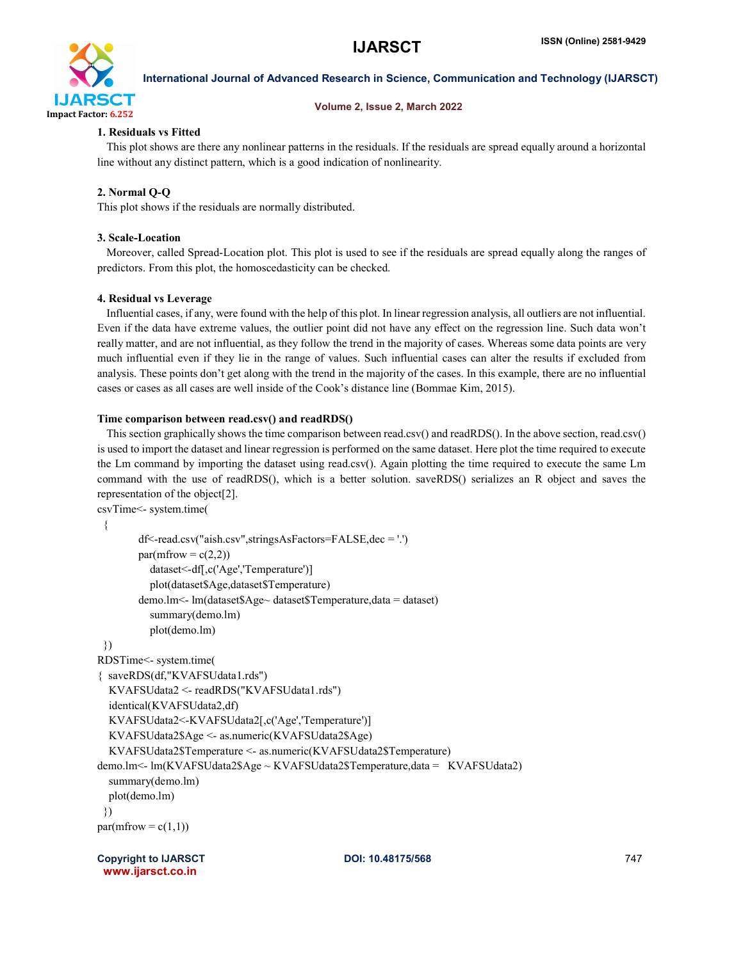

# Volume 2, Issue 2, March 2022

# 1. Residuals vs Fitted

 This plot shows are there any nonlinear patterns in the residuals. If the residuals are spread equally around a horizontal line without any distinct pattern, which is a good indication of nonlinearity.

# 2. Normal Q-Q

This plot shows if the residuals are normally distributed.

# 3. Scale-Location

 Moreover, called Spread-Location plot. This plot is used to see if the residuals are spread equally along the ranges of predictors. From this plot, the homoscedasticity can be checked.

# 4. Residual vs Leverage

 Influential cases, if any, were found with the help of this plot. In linear regression analysis, all outliers are not influential. Even if the data have extreme values, the outlier point did not have any effect on the regression line. Such data won't really matter, and are not influential, as they follow the trend in the majority of cases. Whereas some data points are very much influential even if they lie in the range of values. Such influential cases can alter the results if excluded from analysis. These points don't get along with the trend in the majority of the cases. In this example, there are no influential cases or cases as all cases are well inside of the Cook's distance line (Bommae Kim, 2015).

# Time comparison between read.csv() and readRDS()

 This section graphically shows the time comparison between read.csv() and readRDS(). In the above section, read.csv() is used to import the dataset and linear regression is performed on the same dataset. Here plot the time required to execute the Lm command by importing the dataset using read.csv(). Again plotting the time required to execute the same Lm command with the use of readRDS(), which is a better solution. saveRDS() serializes an R object and saves the representation of the object[2].

```
csvTime<- system.time(
  {
        df<-read.csv("aish.csv",stringsAsFactors=FALSE,dec = '.')
        par(mfrow = c(2,2)) dataset<-df[,c('Age','Temperature')]
           plot(dataset$Age,dataset$Temperature)
        demo.lm<- lm(dataset$Age~ dataset$Temperature,data = dataset)
           summary(demo.lm)
           plot(demo.lm)
  })
RDSTime<- system.time(
{ saveRDS(df,"KVAFSUdata1.rds")
   KVAFSUdata2 <- readRDS("KVAFSUdata1.rds")
   identical(KVAFSUdata2,df) 
   KVAFSUdata2<-KVAFSUdata2[,c('Age','Temperature')]
   KVAFSUdata2$Age <- as.numeric(KVAFSUdata2$Age)
   KVAFSUdata2$Temperature <- as.numeric(KVAFSUdata2$Temperature) 
demo.lm<- lm(KVAFSUdata2$Age ~ KVAFSUdata2$Temperature,data = KVAFSUdata2)
   summary(demo.lm)
   plot(demo.lm)
  })
par(mfrow = c(1,1))
```
Copyright to IJARSCT **DOI: 10.48175/568 Copyright to IJARSCT** 247 www.ijarsct.co.in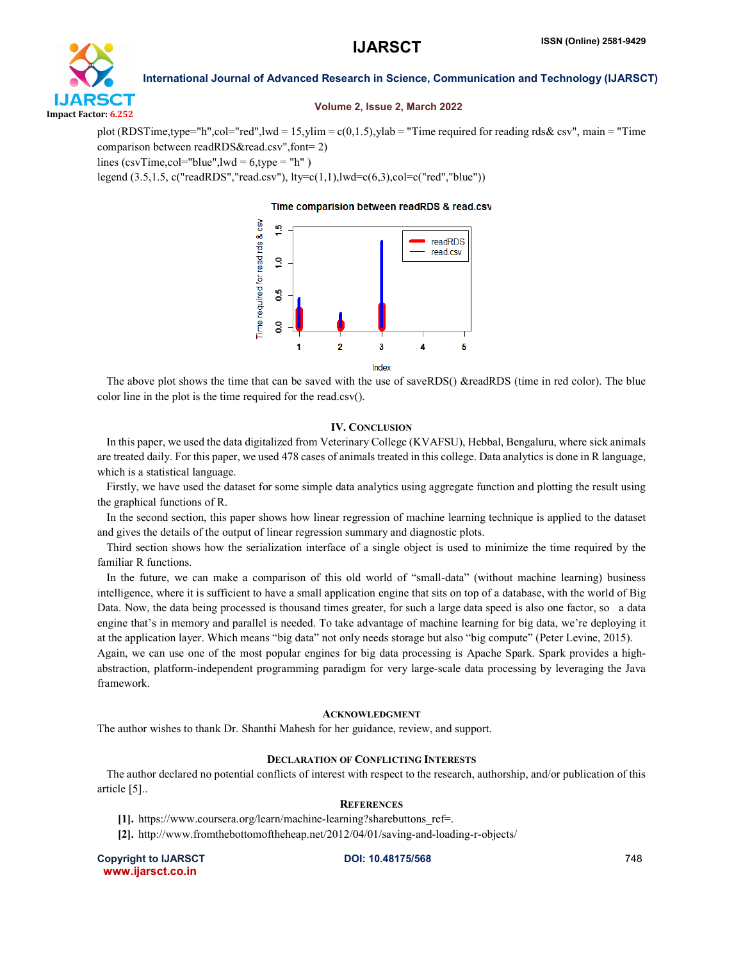

#### Volume 2, Issue 2, March 2022

plot (RDSTime,type="h",col="red",lwd = 15,ylim = c(0,1.5),ylab = "Time required for reading rds& csv", main = "Time comparison between readRDS&read.csv",font= 2) lines (csvTime,col="blue",lwd =  $6$ ,type = "h")

legend (3.5,1.5, c("readRDS","read.csv"), lty=c(1,1),lwd=c(6,3),col=c("red","blue"))

Time comparision between readRDS & read.csv



 The above plot shows the time that can be saved with the use of saveRDS() &readRDS (time in red color). The blue color line in the plot is the time required for the read.csv().

#### IV. CONCLUSION

 In this paper, we used the data digitalized from Veterinary College (KVAFSU), Hebbal, Bengaluru, where sick animals are treated daily. For this paper, we used 478 cases of animals treated in this college. Data analytics is done in R language, which is a statistical language.

 Firstly, we have used the dataset for some simple data analytics using aggregate function and plotting the result using the graphical functions of R.

 In the second section, this paper shows how linear regression of machine learning technique is applied to the dataset and gives the details of the output of linear regression summary and diagnostic plots.

 Third section shows how the serialization interface of a single object is used to minimize the time required by the familiar R functions.

 In the future, we can make a comparison of this old world of "small-data" (without machine learning) business intelligence, where it is sufficient to have a small application engine that sits on top of a database, with the world of Big Data. Now, the data being processed is thousand times greater, for such a large data speed is also one factor, so a data engine that's in memory and parallel is needed. To take advantage of machine learning for big data, we're deploying it at the application layer. Which means "big data" not only needs storage but also "big compute" (Peter Levine, 2015).

Again, we can use one of the most popular engines for big data processing is Apache Spark. Spark provides a highabstraction, platform-independent programming paradigm for very large-scale data processing by leveraging the Java framework.

#### ACKNOWLEDGMENT

The author wishes to thank Dr. Shanthi Mahesh for her guidance, review, and support.

# DECLARATION OF CONFLICTING INTERESTS

 The author declared no potential conflicts of interest with respect to the research, authorship, and/or publication of this article [5]..

# **REFERENCES**

[1]. https://www.coursera.org/learn/machine-learning?sharebuttons\_ref=.

[2]. http://www.fromthebottomoftheheap.net/2012/04/01/saving-and-loading-r-objects/

Copyright to IJARSCT **DOI: 10.48175/568 Copyright to IJARSCT** 248 www.ijarsct.co.in